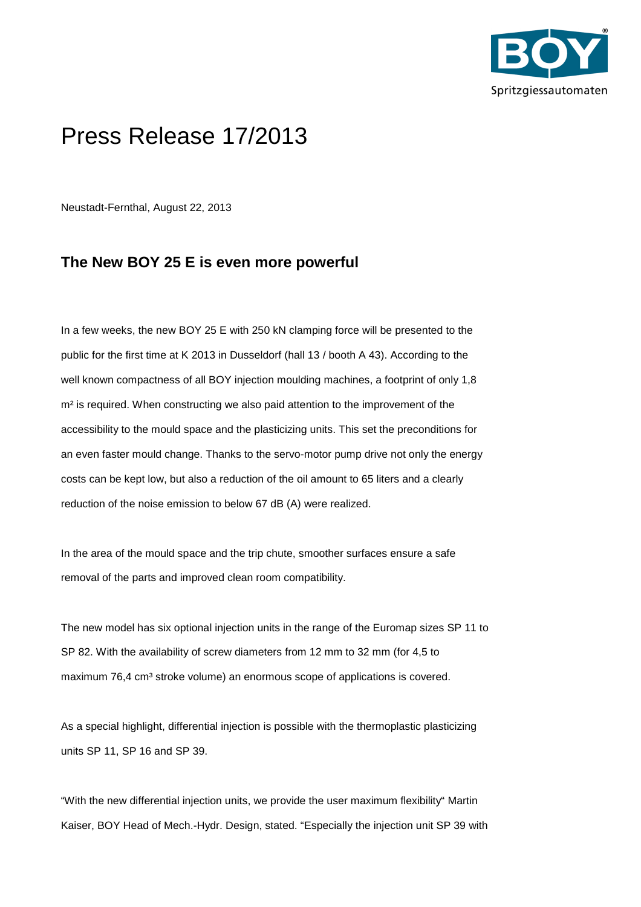

# Press Release 17/2013

Neustadt-Fernthal, August 22, 2013

## **The New BOY 25 E is even more powerful**

In a few weeks, the new BOY 25 E with 250 kN clamping force will be presented to the public for the first time at K 2013 in Dusseldorf (hall 13 / booth A 43). According to the well known compactness of all BOY injection moulding machines, a footprint of only 1,8 m<sup>2</sup> is required. When constructing we also paid attention to the improvement of the accessibility to the mould space and the plasticizing units. This set the preconditions for an even faster mould change. Thanks to the servo-motor pump drive not only the energy costs can be kept low, but also a reduction of the oil amount to 65 liters and a clearly reduction of the noise emission to below 67 dB (A) were realized.

In the area of the mould space and the trip chute, smoother surfaces ensure a safe removal of the parts and improved clean room compatibility.

The new model has six optional injection units in the range of the Euromap sizes SP 11 to SP 82. With the availability of screw diameters from 12 mm to 32 mm (for 4,5 to maximum 76,4 cm<sup>3</sup> stroke volume) an enormous scope of applications is covered.

As a special highlight, differential injection is possible with the thermoplastic plasticizing units SP 11, SP 16 and SP 39.

"With the new differential injection units, we provide the user maximum flexibility" Martin Kaiser, BOY Head of Mech.-Hydr. Design, stated. "Especially the injection unit SP 39 with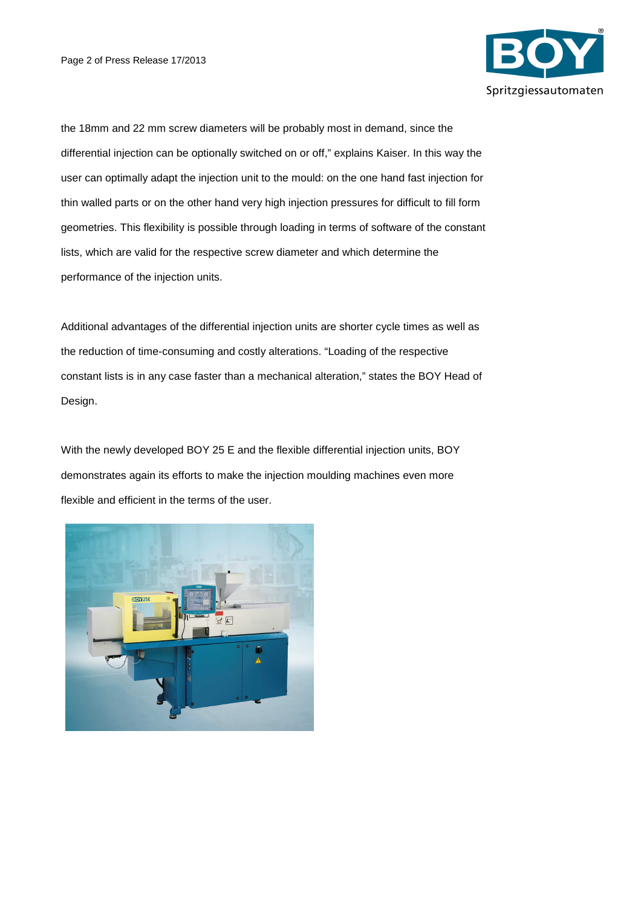

the 18mm and 22 mm screw diameters will be probably most in demand, since the differential injection can be optionally switched on or off," explains Kaiser. In this way the user can optimally adapt the injection unit to the mould: on the one hand fast injection for thin walled parts or on the other hand very high injection pressures for difficult to fill form geometries. This flexibility is possible through loading in terms of software of the constant lists, which are valid for the respective screw diameter and which determine the performance of the injection units.

Additional advantages of the differential injection units are shorter cycle times as well as the reduction of time-consuming and costly alterations. "Loading of the respective constant lists is in any case faster than a mechanical alteration," states the BOY Head of Design.

With the newly developed BOY 25 E and the flexible differential injection units, BOY demonstrates again its efforts to make the injection moulding machines even more flexible and efficient in the terms of the user.

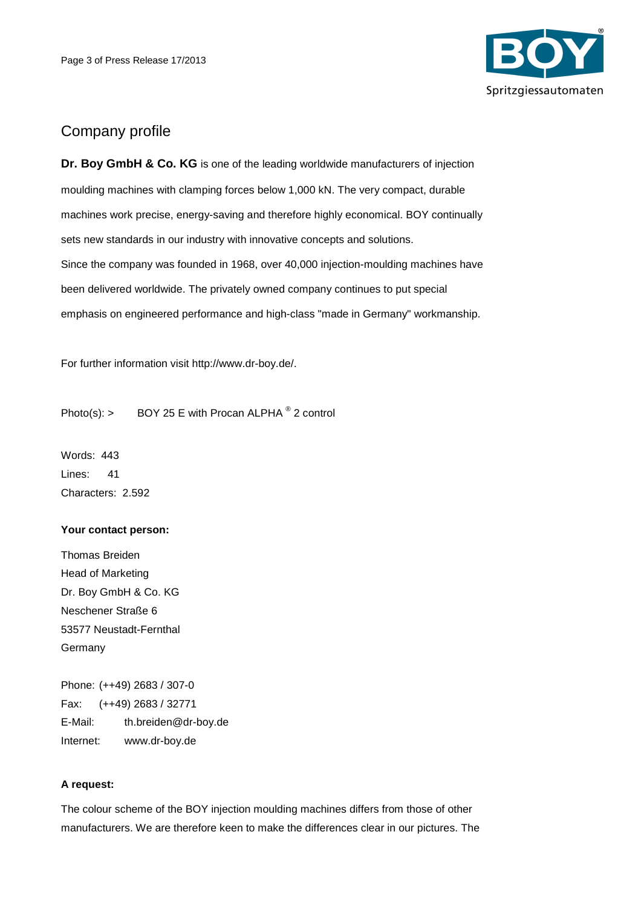

## Company profile

**Dr. Boy GmbH & Co. KG** is one of the leading worldwide manufacturers of injection moulding machines with clamping forces below 1,000 kN. The very compact, durable machines work precise, energy-saving and therefore highly economical. BOY continually sets new standards in our industry with innovative concepts and solutions. Since the company was founded in 1968, over 40,000 injection-moulding machines have been delivered worldwide. The privately owned company continues to put special emphasis on engineered performance and high-class "made in Germany" workmanship.

For further information visit http://www.dr-boy.de/.

Photo(s): > BOY 25 E with Procan ALPHA  $^{\circ}$  2 control

Words: 443 Lines: 41 Characters: 2.592

#### **Your contact person:**

Thomas Breiden Head of Marketing Dr. Boy GmbH & Co. KG Neschener Straße 6 53577 Neustadt-Fernthal Germany

Phone: (++49) 2683 / 307-0 Fax: (++49) 2683 / 32771 E-Mail: th.breiden@dr-boy.de Internet: www.dr-boy.de

### **A request:**

The colour scheme of the BOY injection moulding machines differs from those of other manufacturers. We are therefore keen to make the differences clear in our pictures. The